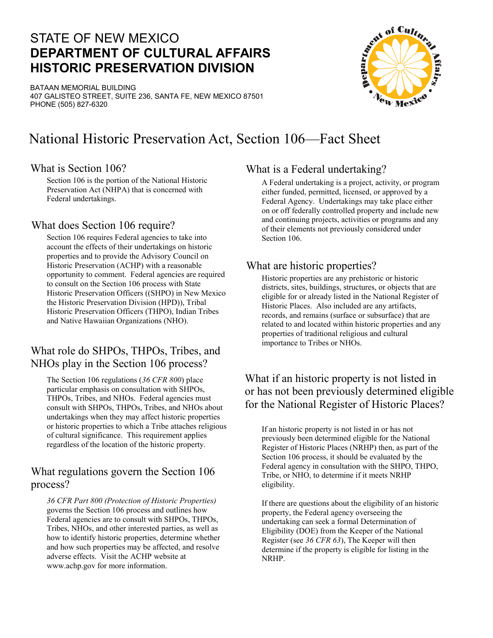## STATE OF NEW MEXICO **DEPARTMENT OF CULTURAL AFFAIRS HISTORIC PRESERVATION DIVISION**

BATAAN MEMORIAL BUILDING 407 GALISTEO STREET, SUITE 236, SANTA FE, NEW MEXICO 87501 PHONE (505) 827-6320



# National Historic Preservation Act, Section 106—Fact Sheet

#### What is Section 106?

Section 106 is the portion of the National Historic Preservation Act (NHPA) that is concerned with Federal undertakings.

#### What does Section 106 require?

Section 106 requires Federal agencies to take into Section 106. account the effects of their undertakings on historic properties and to provide the Advisory Council on Historic Preservation (ACHP) with a reasonable opportunity to comment. Federal agencies are required to consult on the Section 106 process with State Historic Preservation Officers ((SHPO) in New Mexico the Historic Preservation Division (HPD)), Tribal Historic Preservation Officers (THPO), Indian Tribes and Native Hawaiian Organizations (NHO).

## What role do SHPOs, THPOs, Tribes, and NHOs play in the Section 106 process?

The Section 106 regulations (*36 CFR 800*) place particular emphasis on consultation with SHPOs, THPOs, Tribes, and NHOs. Federal agencies must consult with SHPOs, THPOs, Tribes, and NHOs about undertakings when they may affect historic properties or historic properties to which a Tribe attaches religious of cultural significance. This requirement applies regardless of the location of the historic property.

### What regulations govern the Section 106 process?

*36 CFR Part 800 (Protection of Historic Properties)* governs the Section 106 process and outlines how Federal agencies are to consult with SHPOs, THPOs, Tribes, NHOs, and other interested parties, as well as how to identify historic properties, determine whether and how such properties may be affected, and resolve adverse effects. Visit the ACHP website at www.achp.gov for more information.

### What is a Federal undertaking?

A Federal undertaking is a project, activity, or program either funded, permitted, licensed, or approved by a Federal Agency. Undertakings may take place either on or off federally controlled property and include new and continuing projects, activities or programs and any of their elements not previously considered under

#### What are historic properties?

Historic properties are any prehistoric or historic districts, sites, buildings, structures, or objects that are eligible for or already listed in the National Register of Historic Places. Also included are any artifacts, records, and remains (surface or subsurface) that are related to and located within historic properties and any properties of traditional religious and cultural importance to Tribes or NHOs.

### What if an historic property is not listed in or has not been previously determined eligible for the National Register of Historic Places?

If an historic property is not listed in or has not previously been determined eligible for the National Register of Historic Places (NRHP) then, as part of the Section 106 process, it should be evaluated by the Federal agency in consultation with the SHPO, THPO, Tribe, or NHO, to determine if it meets NRHP eligibility.

If there are questions about the eligibility of an historic property, the Federal agency overseeing the undertaking can seek a formal Determination of Eligibility (DOE) from the Keeper of the National Register (see *36 CFR 63*), The Keeper will then determine if the property is eligible for listing in the NRHP.